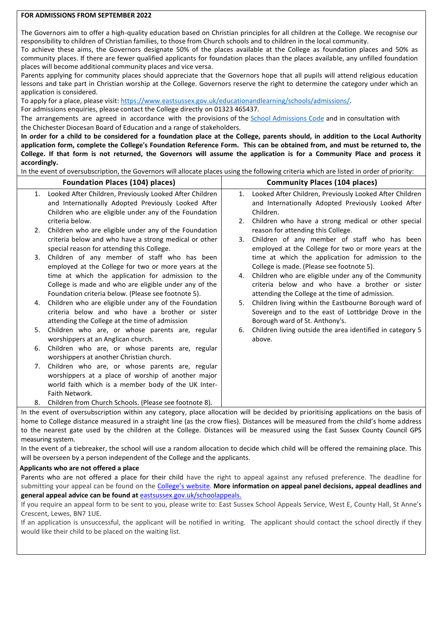## **FOR ADMISSIONS FROM SEPTEMBER 2022**

The Governors aim to offer a high-quality education based on Christian principles for all children at the College. We recognise our responsibility to children of Christian families, to those from Church schools and to children in the local community.

To achieve these aims, the Governors designate 50% of the places available at the College as foundation places and 50% as community places. If there are fewer qualified applicants for foundation places than the places available, any unfilled foundation places will become additional community places and vice versa.

Parents applying for community places should appreciate that the Governors hope that all pupils will attend religious education lessons and take part in Christian worship at the College. Governors reserve the right to determine the category under which an application is considered.

To apply for a place, please visit: [https://www.eastsussex.gov.uk/educationandlearning/schools/admissions/.](https://www.eastsussex.gov.uk/educationandlearning/schools/admissions/) 

For admissions enquiries, please contact the College directly on 01323 465437.

The arrangements are agreed in accordance with the provisions of the [School Admissions Code](https://assets.publishing.service.gov.uk/government/uploads/system/uploads/attachment_data/file/1001050/School_admissions_code_2021.pdf) and in consultation with the Chichester Diocesan Board of Education and a range of stakeholders.

**In order for a child to be considered for a foundation place at the College, parents should, in addition to the Local Authority application form, complete the College's Foundation Reference Form. This can be obtained from, and must be returned to, the College. If that form is not returned, the Governors will assume the application is for a Community Place and process it accordingly.** 

In the event of oversubscription, the Governors will allocate places using the following criteria which are listed in order of priority:

| <b>Foundation Places (104) places)</b>                                                                                                | <b>Community Places (104 places)</b>                                                                                                |
|---------------------------------------------------------------------------------------------------------------------------------------|-------------------------------------------------------------------------------------------------------------------------------------|
| Looked After Children, Previously Looked After Children<br>1.                                                                         | Looked After Children, Previously Looked After Children<br>1.                                                                       |
| and Internationally Adopted Previously Looked After                                                                                   | and Internationally Adopted Previously Looked After                                                                                 |
| Children who are eligible under any of the Foundation                                                                                 | Children.                                                                                                                           |
| criteria below.                                                                                                                       | Children who have a strong medical or other special<br>2.                                                                           |
| Children who are eligible under any of the Foundation<br>2.                                                                           | reason for attending this College.                                                                                                  |
| criteria below and who have a strong medical or other                                                                                 | Children of any member of staff who has been<br>3.                                                                                  |
| special reason for attending this College.                                                                                            | employed at the College for two or more years at the                                                                                |
| Children of any member of staff who has been<br>3.                                                                                    | time at which the application for admission to the                                                                                  |
| employed at the College for two or more years at the                                                                                  | College is made. (Please see footnote 5).                                                                                           |
| time at which the application for admission to the                                                                                    | Children who are eligible under any of the Community<br>4.                                                                          |
| College is made and who are eligible under any of the                                                                                 | criteria below and who have a brother or sister                                                                                     |
| Foundation criteria below. (Please see footnote 5).                                                                                   | attending the College at the time of admission.                                                                                     |
| Children who are eligible under any of the Foundation<br>4.                                                                           | Children living within the Eastbourne Borough ward of<br>5.                                                                         |
| criteria below and who have a brother or sister                                                                                       | Sovereign and to the east of Lottbridge Drove in the                                                                                |
| attending the College at the time of admission                                                                                        | Borough ward of St. Anthony's.                                                                                                      |
| Children who are, or whose parents are, regular<br>5.                                                                                 | Children living outside the area identified in category 5<br>6.                                                                     |
| worshippers at an Anglican church.                                                                                                    | above.                                                                                                                              |
| Children who are, or whose parents are, regular<br>6.                                                                                 |                                                                                                                                     |
| worshippers at another Christian church.                                                                                              |                                                                                                                                     |
| Children who are, or whose parents are, regular<br>7.                                                                                 |                                                                                                                                     |
| worshippers at a place of worship of another major                                                                                    |                                                                                                                                     |
| world faith which is a member body of the UK Inter-                                                                                   |                                                                                                                                     |
| Faith Network.                                                                                                                        |                                                                                                                                     |
| Children from Church Schools. (Please see footnote 8).<br>8.                                                                          |                                                                                                                                     |
|                                                                                                                                       | In the event of oversubscription within any category, place allocation will be decided by prioritising applications on the basis of |
| home to College distance measured in a straight line (as the crow flies). Distances will be measured from the child's home address    |                                                                                                                                     |
|                                                                                                                                       | to the nearest gate used by the children at the College. Distances will be measured using the East Sussex County Council GPS        |
| measuring system.                                                                                                                     |                                                                                                                                     |
| la the quent of a tiphreaker, the school will use a random allocation to decide which child will be effered the remaining place. This |                                                                                                                                     |

In the event of a tiebreaker, the school will use a random allocation to decide which child will be offered the remaining place. This will be overseen by a person independent of the College and the applicants.

## **Applicants who are not offered a place**

Parents who are not offered a place for their child have the right to appeal against any refused preference. The deadline for submitting your appeal can be found on the [College's](https://www.stcatherines.college/page/?title=Admissions&pid=32) website. **More information on appeal panel decisions, appeal deadlines and general appeal advice can be found at** [eastsussex.gov.uk/schoolappeals.](https://www.eastsussex.gov.uk/educationandlearning/schools/admissions/completed/detailed-guidance-school-admission-appeals/school-admission-appeals-guide/)

If you require an appeal form to be sent to you, please write to: East Sussex School Appeals Service, West E, County Hall, St Anne's Crescent, Lewes, BN7 1UE.

If an application is unsuccessful, the applicant will be notified in writing. The applicant should contact the school directly if they would like their child to be placed on the waiting list.